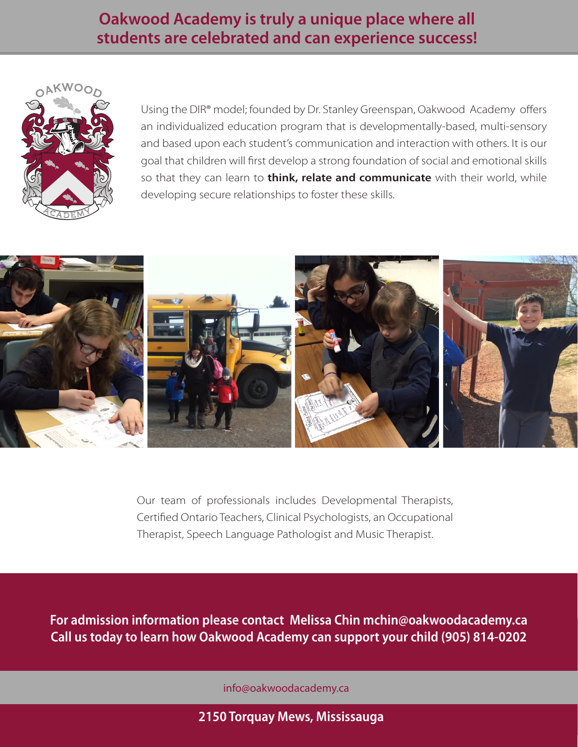## **Oakwood Academy is truly a unique place where all students are celebrated and can experience success!**



Using the DIR® model; founded by Dr. Stanley Greenspan, Oakwood Academy offers an individualized education program that is developmentally-based, multi-sensory and based upon each student's communication and interaction with others. It is our goal that children will first develop a strong foundation of social and emotional skills so that they can learn to **think, relate and communicate** with their world, while developing secure relationships to foster these skills.



Our team of professionals includes Developmental Therapists, Certified Ontario Teachers, Clinical Psychologists, an Occupational Therapist, Speech Language Pathologist and Music Therapist.

**For admission information please contact Melissa Chin mchin@oakwoodacademy.ca Call us today to learn how Oakwood Academy can support your child (905) 814-0202** 

info@oakwoodacademy.ca

**2150 Torquay Mews, Mississauga**